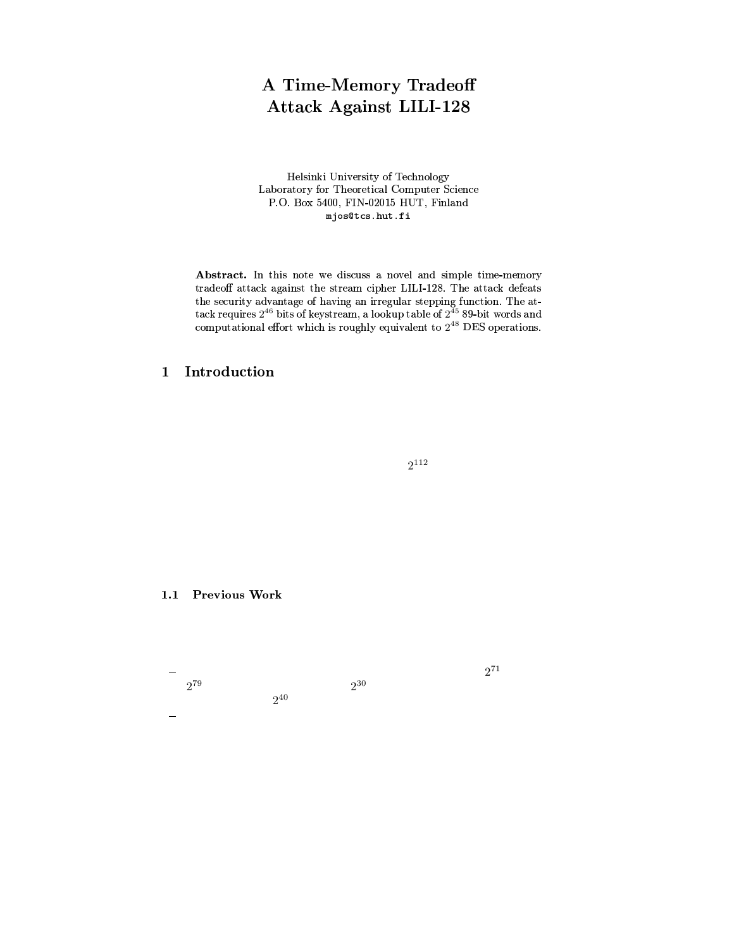# A Time-Memory Tradeoff **Attack Against LILI-128**

Helsinki University of Technology Laboratory for Theoretical Computer Science P.O. Box 5400, FIN-02015 HUT, Finland mjos@tcs.hut.fi

Abstract. In this note we discuss a novel and simple time-memory tradeoff attack against the stream cipher LILI-128. The attack defeats the security advantage of having an irregular stepping function. The attack requires  $2^{46}$  bits of keystream, a lookup table of  $2^{45}$  89-bit words and computational effort which is roughly equivalent to  $2^{48}$  DES operations.

### Introduction  $\mathbf{1}$

 $2^{112}$ 

1.1 Previous Work

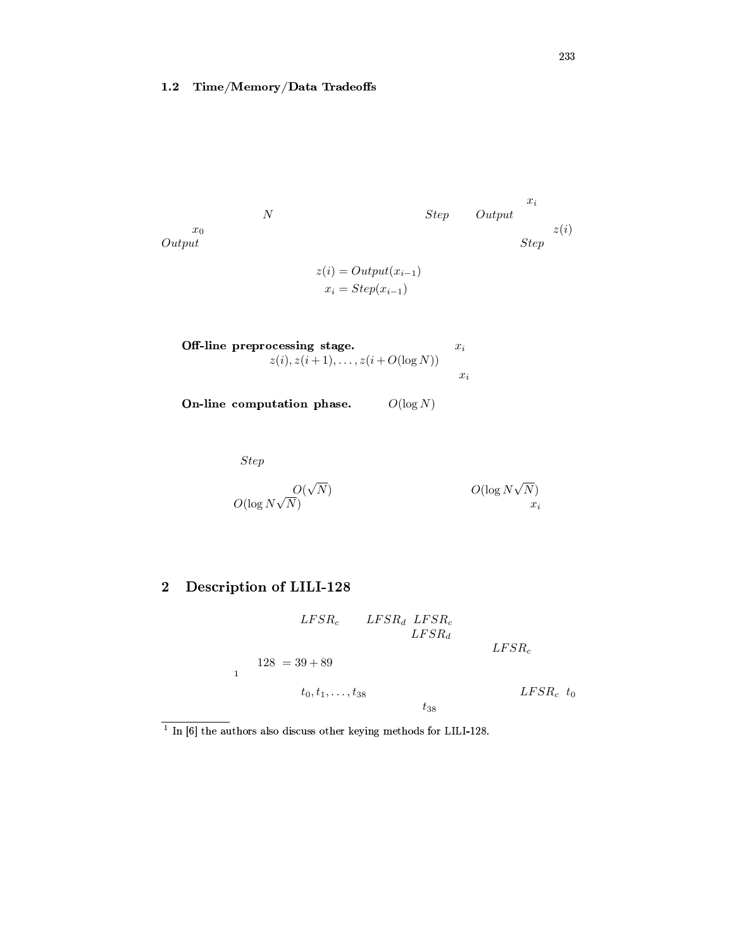#### $\bf 1.2$ Time/Memory/Data Tradeoffs

$$
x_i = Step(x_{i-1})
$$

**Off-line preprocessing stage.** 
$$
x_i
$$
  
 $z(i), z(i+1), \ldots, z(i+O(\log N))$   $x_i$ 

On-line computation phase.  $O(\log N)$ 

Step

$$
O(\log N \sqrt{N})
$$
\n
$$
O(\log N \sqrt{N})
$$
\n
$$
C(\log N \sqrt{N})
$$
\n
$$
x_i
$$

### $\overline{2}$ Description of LILI-128

 $LFSR_c$  $LFSR_d\ LFSR_c$  $LFSR_d$  $LFSR_{c}$  $128 = 39 + 89$  $\bar{1}$  $t_0, t_1, \ldots, t_{38}$  $LFSR_c$  to  $t_{38}$ 

 $\frac{1}{1}$  In [6] the authors also discuss other keying methods for LILI-128.

 $\mathcal{C}$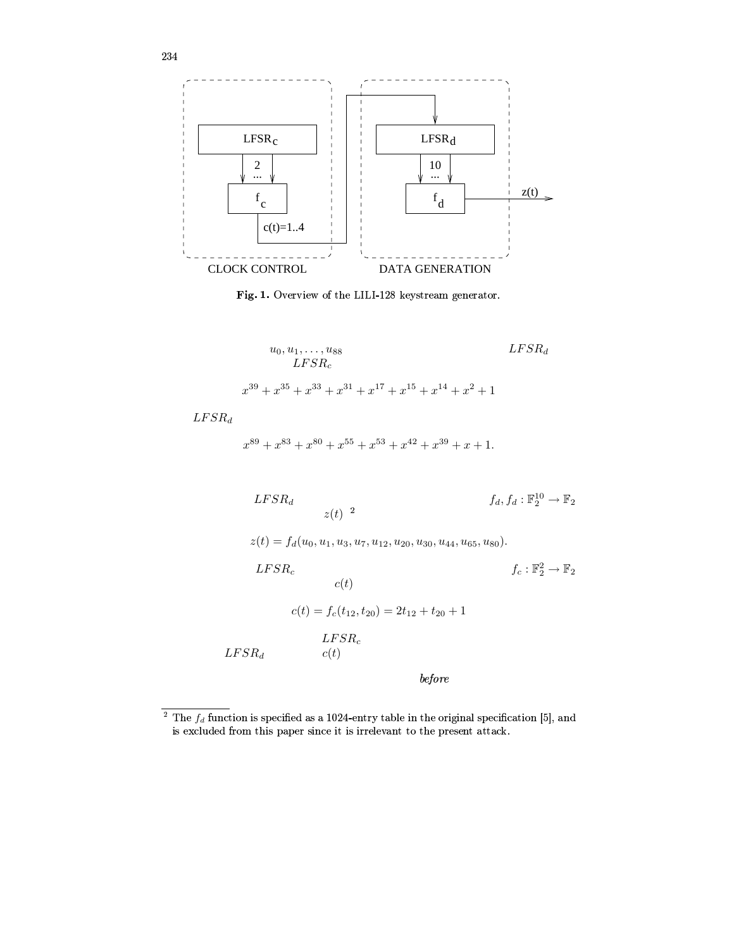

Fig. 1. Overview of the LILI-128 keystream generator.

$$
u_0, u_1, \dots, u_{88}
$$
  
\n
$$
LFSR_c
$$
  
\n
$$
x^{39} + x^{35} + x^{33} + x^{31} + x^{17} + x^{15} + x^{14} + x^2 + 1
$$

 $LFSR_d$ 

 $x^{89} + x^{83} + x^{80} + x^{55} + x^{53} + x^{42} + x^{39} + x + 1$ 

$$
LFSR_d \t\t f_d, f_d: \mathbb{F}_2^{10} \to \mathbb{F}_2
$$

 $z(t) = f_d(u_0, u_1, u_3, u_7, u_{12}, u_{20}, u_{30}, u_{44}, u_{65}, u_{80}).$ 

 $f_c : \mathbb{F}_2^2 \to \mathbb{F}_2$  $LFSR_c$  $\boldsymbol{c}(t)$  $c(t) = f_c(t_{12}, t_{20}) = 2t_{12} + t_{20} + 1$ 

 $LFSR_d$ 

before

 $LFSR_c$ 

 $c(t)$ 

<sup>&</sup>lt;sup>2</sup> The  $f_d$  function is specified as a 1024-entry table in the original specification [5], and is excluded from this paper since it is irrelevant to the present attack.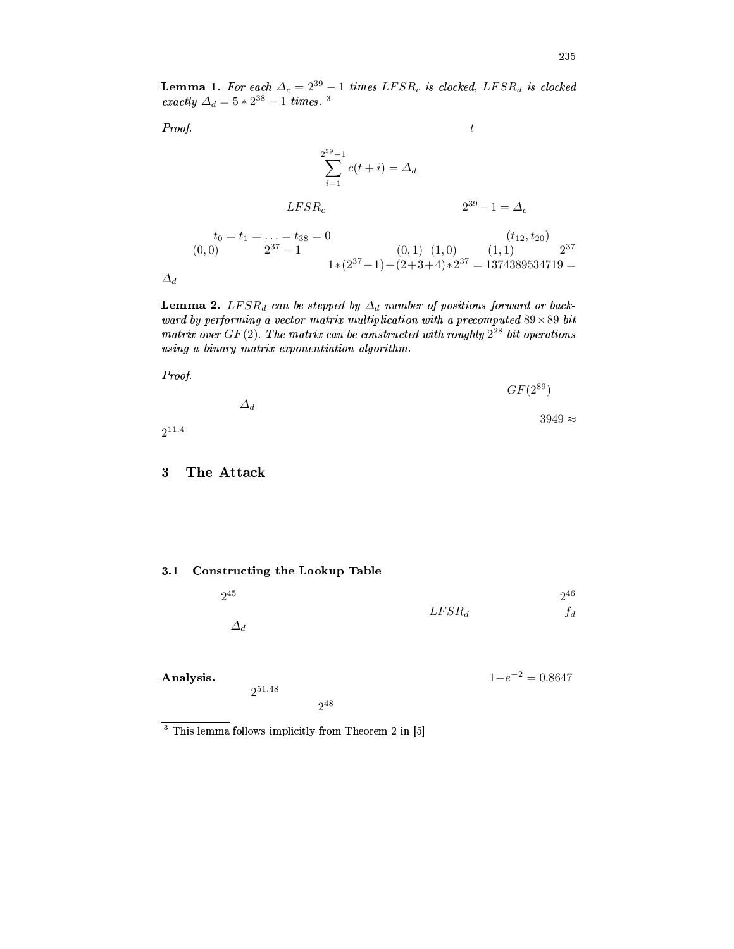**Lemma 1.** For each  $\Delta_c = 2^{39} - 1$  times  $LFSR_c$  is clocked,  $LFSR_d$  is clocked exactly  $\Delta_d = 5 * 2^{38} - 1$  times. <sup>3</sup>

 $\boldsymbol{t}$ 

Proof.

$$
\sum_{i=1}^{2^{39}-1} c(t+i) = \Delta_d
$$
  
\n
$$
LFSR_c
$$
  
\n
$$
t_0 = t_1 = \dots = t_{38} = 0
$$
  
\n
$$
(0,0) \qquad 2^{37}-1
$$
  
\n
$$
1 * (2^{37}-1) + (2+3+4) * 2^{37} = 1374389534719 = \Delta_d
$$

**Lemma 2.** LFSR<sub>d</sub> can be stepped by  $\Delta_d$  number of positions forward or backward by performing a vector-matrix multiplication with a precomputed  $89 \times 89$  bit matrix over  $GF(2)$ . The matrix can be constructed with roughly  $2^{28}$  bit operations using a binary matrix exponentiation algorithm.



 $\boldsymbol{3}$ The Attack

### 3.1 Constructing the Lookup Table

 $2^{51.48}$ 

| $2^{45}\,$    |          | 246   |
|---------------|----------|-------|
|               | $LFSR_d$ | $f_d$ |
| $\varDelta_d$ |          |       |

Analysis.

$$
1\!-\!e^{-2}=0.8647
$$

 $2^{48}$ 

 $3$  This lemma follows implicitly from Theorem 2 in  $[5]$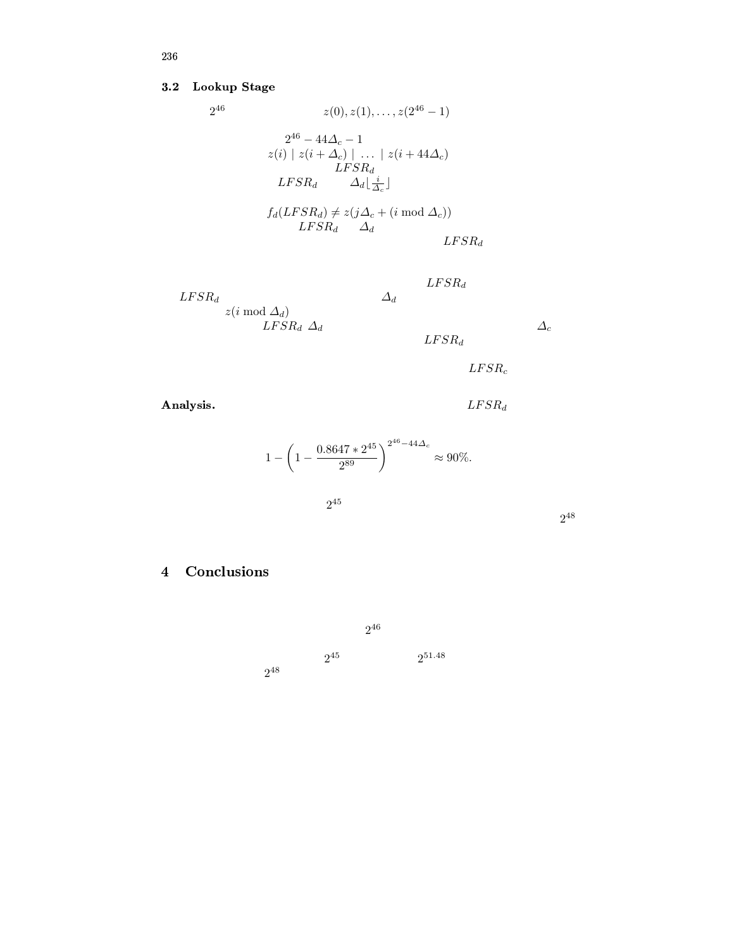## 3.2 Lookup Stage

$$
2^{46} \t z(0), z(1), \ldots, z(2^{46} - 1)
$$
  

$$
2^{46} - 44\Delta_c - 1
$$
  

$$
z(i) | z(i + \Delta_c) | \ldots | z(i + 44\Delta_c)
$$
  

$$
LFSR_d \t \Delta_d \lfloor \frac{i}{\Delta_c} \rfloor
$$
  

$$
f_d(LFSR_d) \neq z(j\Delta_c + (i \mod \Delta_c))
$$
  

$$
LFSR_d \Delta_d
$$
  

$$
LFSR_d
$$

 $LFSR_d$  $LFSR_d$  and  $\Delta_d$  $z(i \bmod \Delta_d)$  $LFSR_d \Delta_d$   $\Delta_c$  $LFSR_d$ 

 $LFSR_c$ 

Analysis.  $LFSR_d$ 

 $1 - \left(1 - \frac{0.8647 * 2^{45}}{2^{89}}\right)$  $\left(\frac{47*2^{45}}{2^{89}}\right)^{2^{46}-44\Delta_c}$  $\approx 90\%$ .

$$
2^{45}
$$

2 48

- ¬¡©°¯Q®2h±E¬ ©2

2 46  $2^{45}$  2  $2^{51.48}$ 2 48

t-?